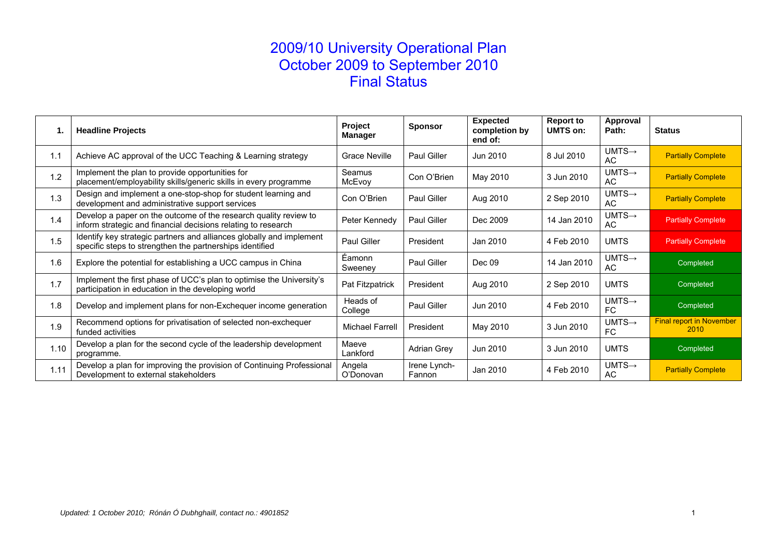# 2009/10 University Operational Plan October 2009 to September 2010 Final Status

| 1.   | <b>Headline Projects</b>                                                                                                          | Project<br>Manager     | <b>Sponsor</b>         | <b>Expected</b><br>completion by<br>end of: | <b>Report to</b><br>UMTS on: | Approval<br>Path:         | <b>Status</b>                           |
|------|-----------------------------------------------------------------------------------------------------------------------------------|------------------------|------------------------|---------------------------------------------|------------------------------|---------------------------|-----------------------------------------|
| 1.1  | Achieve AC approval of the UCC Teaching & Learning strategy                                                                       | <b>Grace Neville</b>   | Paul Giller            | Jun 2010                                    | 8 Jul 2010                   | $UMTS \rightarrow$<br>AC  | <b>Partially Complete</b>               |
| 1.2  | Implement the plan to provide opportunities for<br>placement/employability skills/generic skills in every programme               | Seamus<br>McEvoy       | Con O'Brien            | May 2010                                    | 3 Jun 2010                   | $UMTS \rightarrow$<br>AC. | <b>Partially Complete</b>               |
| 1.3  | Design and implement a one-stop-shop for student learning and<br>development and administrative support services                  | Con O'Brien            | <b>Paul Giller</b>     | Aug 2010                                    | 2 Sep 2010                   | $UMTS \rightarrow$<br>AC. | <b>Partially Complete</b>               |
| 1.4  | Develop a paper on the outcome of the research quality review to<br>inform strategic and financial decisions relating to research | Peter Kennedy          | Paul Giller            | Dec 2009                                    | 14 Jan 2010                  | $UMTS \rightarrow$<br>AC. | <b>Partially Complete</b>               |
| 1.5  | Identify key strategic partners and alliances globally and implement<br>specific steps to strengthen the partnerships identified  | Paul Giller            | President              | Jan 2010                                    | 4 Feb 2010                   | <b>UMTS</b>               | <b>Partially Complete</b>               |
| 1.6  | Explore the potential for establishing a UCC campus in China                                                                      | Éamonn<br>Sweeney      | <b>Paul Giller</b>     | Dec 09                                      | 14 Jan 2010                  | $UMTS \rightarrow$<br>AC. | Completed                               |
| 1.7  | Implement the first phase of UCC's plan to optimise the University's<br>participation in education in the developing world        | Pat Fitzpatrick        | President              | Aug 2010                                    | 2 Sep 2010                   | <b>UMTS</b>               | Completed                               |
| 1.8  | Develop and implement plans for non-Exchequer income generation                                                                   | Heads of<br>College    | Paul Giller            | Jun 2010                                    | 4 Feb 2010                   | $UMTS \rightarrow$<br>FC  | Completed                               |
| 1.9  | Recommend options for privatisation of selected non-exchequer<br>funded activities                                                | <b>Michael Farrell</b> | President              | May 2010                                    | 3 Jun 2010                   | $UMTS \rightarrow$<br>FC. | <b>Final report in November</b><br>2010 |
| 1.10 | Develop a plan for the second cycle of the leadership development<br>programme.                                                   | Maeve<br>Lankford      | <b>Adrian Grey</b>     | Jun 2010                                    | 3 Jun 2010                   | <b>UMTS</b>               | Completed                               |
| 1.11 | Develop a plan for improving the provision of Continuing Professional<br>Development to external stakeholders                     | Angela<br>O'Donovan    | Irene Lynch-<br>Fannon | Jan 2010                                    | 4 Feb 2010                   | $UMTS \rightarrow$<br>AC  | <b>Partially Complete</b>               |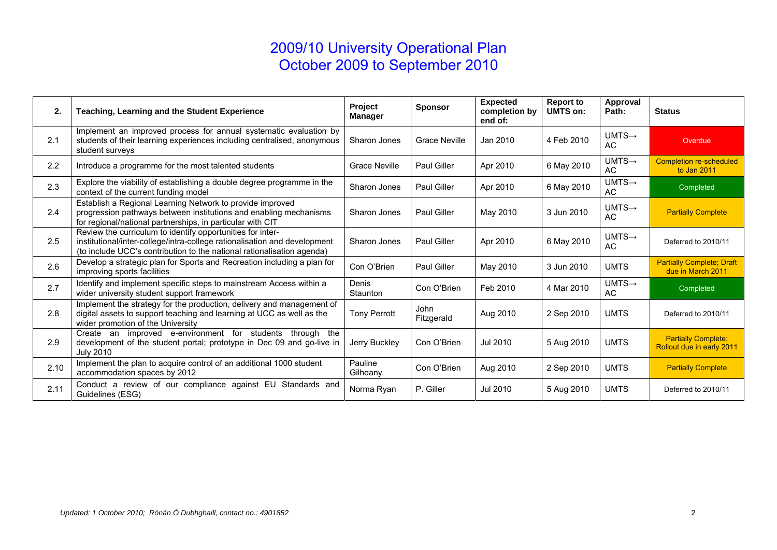| 2.   | Teaching, Learning and the Student Experience                                                                                                                                                                     | Project<br><b>Manager</b> | <b>Sponsor</b>       | <b>Expected</b><br>completion by<br>end of: | <b>Report to</b><br>UMTS on: | Approval<br>Path:         | <b>Status</b>                                           |
|------|-------------------------------------------------------------------------------------------------------------------------------------------------------------------------------------------------------------------|---------------------------|----------------------|---------------------------------------------|------------------------------|---------------------------|---------------------------------------------------------|
| 2.1  | Implement an improved process for annual systematic evaluation by<br>students of their learning experiences including centralised, anonymous<br>student surveys                                                   | Sharon Jones              | <b>Grace Neville</b> | Jan 2010                                    | 4 Feb 2010                   | $UMTS \rightarrow$<br>AC. | Overdue                                                 |
| 2.2  | Introduce a programme for the most talented students                                                                                                                                                              | <b>Grace Neville</b>      | Paul Giller          | Apr 2010                                    | 6 May 2010                   | $UMTS \rightarrow$<br>AC  | <b>Completion re-scheduled</b><br>to Jan 2011           |
| 2.3  | Explore the viability of establishing a double degree programme in the<br>context of the current funding model                                                                                                    | Sharon Jones              | Paul Giller          | Apr 2010                                    | 6 May 2010                   | $UMTS \rightarrow$<br>AC  | Completed                                               |
| 2.4  | Establish a Regional Learning Network to provide improved<br>progression pathways between institutions and enabling mechanisms<br>for regional/national partnerships, in particular with CIT                      | Sharon Jones              | Paul Giller          | May 2010                                    | 3 Jun 2010                   | $UMTS \rightarrow$<br>AC  | <b>Partially Complete</b>                               |
| 2.5  | Review the curriculum to identify opportunities for inter-<br>institutional/inter-college/intra-college rationalisation and development<br>(to include UCC's contribution to the national rationalisation agenda) | Sharon Jones              | Paul Giller          | Apr 2010                                    | 6 May 2010                   | $UMTS \rightarrow$<br>AC  | Deferred to 2010/11                                     |
| 2.6  | Develop a strategic plan for Sports and Recreation including a plan for<br>improving sports facilities                                                                                                            | Con O'Brien               | Paul Giller          | May 2010                                    | 3 Jun 2010                   | <b>UMTS</b>               | <b>Partially Complete; Draft</b><br>due in March 2011   |
| 2.7  | Identify and implement specific steps to mainstream Access within a<br>wider university student support framework                                                                                                 | Denis<br>Staunton         | Con O'Brien          | Feb 2010                                    | 4 Mar 2010                   | $UMTS \rightarrow$<br>AC  | Completed                                               |
| 2.8  | Implement the strategy for the production, delivery and management of<br>digital assets to support teaching and learning at UCC as well as the<br>wider promotion of the University                               | <b>Tony Perrott</b>       | John<br>Fitzgerald   | Aug 2010                                    | 2 Sep 2010                   | <b>UMTS</b>               | Deferred to 2010/11                                     |
| 2.9  | Create an improved e-environment for students<br>through the<br>development of the student portal; prototype in Dec 09 and go-live in<br><b>July 2010</b>                                                         | Jerry Buckley             | Con O'Brien          | Jul 2010                                    | 5 Aug 2010                   | <b>UMTS</b>               | <b>Partially Complete;</b><br>Rollout due in early 2011 |
| 2.10 | Implement the plan to acquire control of an additional 1000 student<br>accommodation spaces by 2012                                                                                                               | Pauline<br>Gilheany       | Con O'Brien          | Aug 2010                                    | 2 Sep 2010                   | <b>UMTS</b>               | <b>Partially Complete</b>                               |
| 2.11 | Conduct a review of our compliance against EU Standards and<br>Guidelines (ESG)                                                                                                                                   | Norma Ryan                | P. Giller            | Jul 2010                                    | 5 Aug 2010                   | <b>UMTS</b>               | Deferred to 2010/11                                     |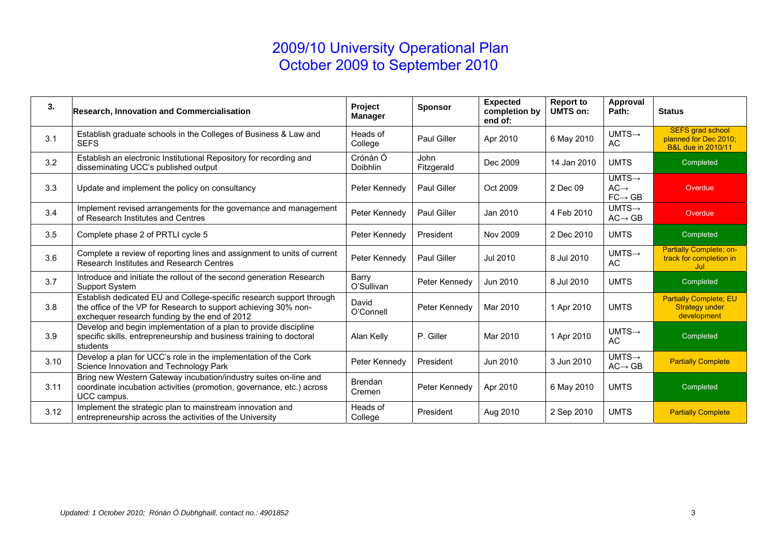| 3.   | <b>Research, Innovation and Commercialisation</b>                                                                                                                                        | Project<br><b>Manager</b> | <b>Sponsor</b>            | <b>Expected</b><br>completion by<br>end of: | <b>Report to</b><br><b>UMTS on:</b> | Approval<br>Path:                                             | <b>Status</b>                                                                     |
|------|------------------------------------------------------------------------------------------------------------------------------------------------------------------------------------------|---------------------------|---------------------------|---------------------------------------------|-------------------------------------|---------------------------------------------------------------|-----------------------------------------------------------------------------------|
| 3.1  | Establish graduate schools in the Colleges of Business & Law and<br><b>SEFS</b>                                                                                                          | Heads of<br>College       | Paul Giller               | Apr 2010                                    | 6 May 2010                          | $UMTS \rightarrow$<br><b>AC</b>                               | <b>SEFS grad school</b><br>planned for Dec 2010;<br><b>B&amp;L due in 2010/11</b> |
| 3.2  | Establish an electronic Institutional Repository for recording and<br>disseminating UCC's published output                                                                               | Crónán Ó<br>Doibhlin      | <b>John</b><br>Fitzgerald | Dec 2009                                    | 14 Jan 2010                         | <b>UMTS</b>                                                   | Completed                                                                         |
| 3.3  | Update and implement the policy on consultancy                                                                                                                                           | Peter Kennedy             | <b>Paul Giller</b>        | Oct 2009                                    | 2 Dec 09                            | $UMTS \rightarrow$<br>$AC \rightarrow$<br>$FC \rightarrow GB$ | Overdue                                                                           |
| 3.4  | Implement revised arrangements for the governance and management<br>of Research Institutes and Centres                                                                                   | Peter Kennedy             | Paul Giller               | Jan 2010                                    | 4 Feb 2010                          | $UMTS \rightarrow$<br>$AC \rightarrow GB$                     | Overdue                                                                           |
| 3.5  | Complete phase 2 of PRTLI cycle 5                                                                                                                                                        | Peter Kennedy             | President                 | Nov 2009                                    | 2 Dec 2010                          | <b>UMTS</b>                                                   | Completed                                                                         |
| 3.6  | Complete a review of reporting lines and assignment to units of current<br>Research Institutes and Research Centres                                                                      | Peter Kennedy             | Paul Giller               | Jul 2010                                    | 8 Jul 2010                          | $UMTS \rightarrow$<br>AC                                      | <b>Partially Complete; on-</b><br>track for completion in<br>Jul.                 |
| 3.7  | Introduce and initiate the rollout of the second generation Research<br><b>Support System</b>                                                                                            | Barry<br>O'Sullivan       | Peter Kennedy             | Jun 2010                                    | 8 Jul 2010                          | <b>UMTS</b>                                                   | Completed                                                                         |
| 3.8  | Establish dedicated EU and College-specific research support through<br>the office of the VP for Research to support achieving 30% non-<br>exchequer research funding by the end of 2012 | David<br>O'Connell        | Peter Kennedy             | Mar 2010                                    | 1 Apr 2010                          | <b>UMTS</b>                                                   | <b>Partially Complete; EU</b><br><b>Strategy under</b><br>development             |
| 3.9  | Develop and begin implementation of a plan to provide discipline<br>specific skills, entrepreneurship and business training to doctoral<br>students                                      | Alan Kelly                | P. Giller                 | Mar 2010                                    | 1 Apr 2010                          | $UMTS \rightarrow$<br>AC                                      | Completed                                                                         |
| 3.10 | Develop a plan for UCC's role in the implementation of the Cork<br>Science Innovation and Technology Park                                                                                | Peter Kennedy             | President                 | Jun 2010                                    | 3 Jun 2010                          | $UMTS \rightarrow$<br>$AC \rightarrow GB$                     | <b>Partially Complete</b>                                                         |
| 3.11 | Bring new Western Gateway incubation/industry suites on-line and<br>coordinate incubation activities (promotion, governance, etc.) across<br>UCC campus.                                 | <b>Brendan</b><br>Cremen  | Peter Kennedy             | Apr 2010                                    | 6 May 2010                          | <b>UMTS</b>                                                   | Completed                                                                         |
| 3.12 | Implement the strategic plan to mainstream innovation and<br>entrepreneurship across the activities of the University                                                                    | Heads of<br>College       | President                 | Aug 2010                                    | 2 Sep 2010                          | <b>UMTS</b>                                                   | <b>Partially Complete</b>                                                         |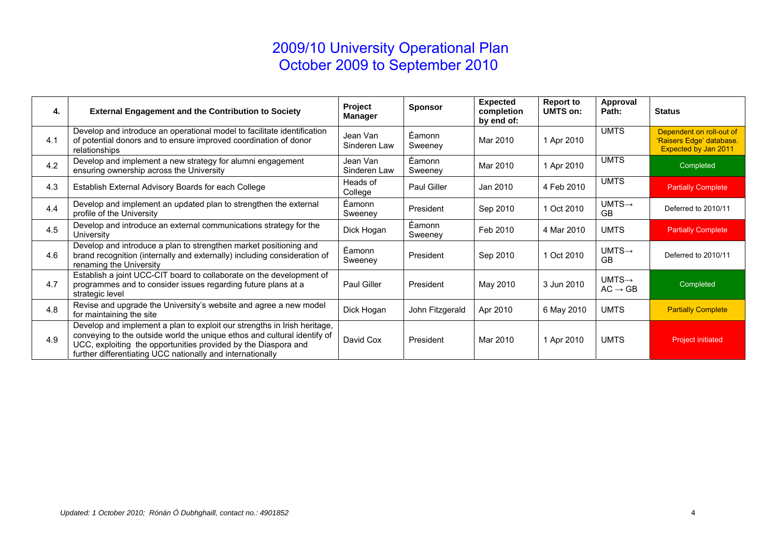| 4.  | <b>External Engagement and the Contribution to Society</b>                                                                                                                                                                                                                           | Project<br><b>Manager</b> | <b>Sponsor</b>    | <b>Expected</b><br>completion<br>by end of: | <b>Report to</b><br><b>UMTS on:</b> | Approval<br>Path:                         | <b>Status</b>                                                                |
|-----|--------------------------------------------------------------------------------------------------------------------------------------------------------------------------------------------------------------------------------------------------------------------------------------|---------------------------|-------------------|---------------------------------------------|-------------------------------------|-------------------------------------------|------------------------------------------------------------------------------|
| 4.1 | Develop and introduce an operational model to facilitate identification<br>of potential donors and to ensure improved coordination of donor<br>relationships                                                                                                                         | Jean Van<br>Sinderen Law  | Éamonn<br>Sweeney | Mar 2010                                    | 1 Apr 2010                          | <b>UMTS</b>                               | Dependent on roll-out of<br>'Raisers Edge' database.<br>Expected by Jan 2011 |
| 4.2 | Develop and implement a new strategy for alumni engagement<br>ensuring ownership across the University                                                                                                                                                                               | Jean Van<br>Sinderen Law  | Éamonn<br>Sweeney | Mar 2010                                    | 1 Apr 2010                          | <b>UMTS</b>                               | Completed                                                                    |
| 4.3 | Establish External Advisory Boards for each College                                                                                                                                                                                                                                  | Heads of<br>College       | Paul Giller       | Jan 2010                                    | 4 Feb 2010                          | <b>UMTS</b>                               | <b>Partially Complete</b>                                                    |
| 4.4 | Develop and implement an updated plan to strengthen the external<br>profile of the University                                                                                                                                                                                        | Éamonn<br>Sweeney         | President         | Sep 2010                                    | 1 Oct 2010                          | $UMTS \rightarrow$<br><b>GB</b>           | Deferred to 2010/11                                                          |
| 4.5 | Develop and introduce an external communications strategy for the<br>University                                                                                                                                                                                                      | Dick Hogan                | Éamonn<br>Sweeney | Feb 2010                                    | 4 Mar 2010                          | <b>UMTS</b>                               | <b>Partially Complete</b>                                                    |
| 4.6 | Develop and introduce a plan to strengthen market positioning and<br>brand recognition (internally and externally) including consideration of<br>renaming the University                                                                                                             | Éamonn<br>Sweeney         | President         | Sep 2010                                    | 1 Oct 2010                          | $UMTS \rightarrow$<br><b>GB</b>           | Deferred to 2010/11                                                          |
| 4.7 | Establish a joint UCC-CIT board to collaborate on the development of<br>programmes and to consider issues regarding future plans at a<br>strategic level                                                                                                                             | Paul Giller               | President         | May 2010                                    | 3 Jun 2010                          | $UMTS \rightarrow$<br>$AC \rightarrow GB$ | Completed                                                                    |
| 4.8 | Revise and upgrade the University's website and agree a new model<br>for maintaining the site                                                                                                                                                                                        | Dick Hogan                | John Fitzgerald   | Apr 2010                                    | 6 May 2010                          | <b>UMTS</b>                               | <b>Partially Complete</b>                                                    |
| 4.9 | Develop and implement a plan to exploit our strengths in Irish heritage,<br>conveying to the outside world the unique ethos and cultural identify of<br>UCC, exploiting the opportunities provided by the Diaspora and<br>further differentiating UCC nationally and internationally | David Cox                 | President         | Mar 2010                                    | 1 Apr 2010                          | <b>UMTS</b>                               | <b>Project initiated</b>                                                     |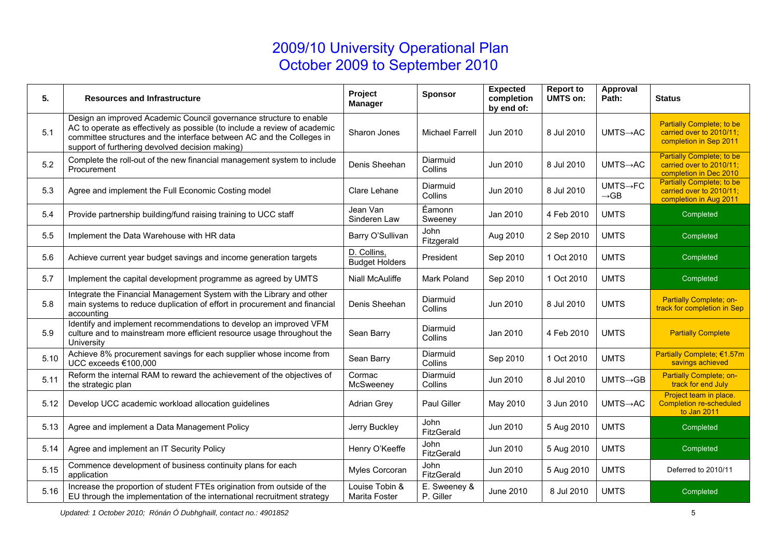| 5.   | <b>Resources and Infrastructure</b>                                                                                                                                                                                                                                         | Project<br><b>Manager</b>            | <b>Sponsor</b>            | <b>Expected</b><br>completion<br>by end of: | <b>Report to</b><br><b>UMTS on:</b> | Approval<br>Path:                         | <b>Status</b>                                                                          |
|------|-----------------------------------------------------------------------------------------------------------------------------------------------------------------------------------------------------------------------------------------------------------------------------|--------------------------------------|---------------------------|---------------------------------------------|-------------------------------------|-------------------------------------------|----------------------------------------------------------------------------------------|
| 5.1  | Design an improved Academic Council governance structure to enable<br>AC to operate as effectively as possible (to include a review of academic<br>committee structures and the interface between AC and the Colleges in<br>support of furthering devolved decision making) | Sharon Jones                         | <b>Michael Farrell</b>    | Jun 2010                                    | 8 Jul 2010                          | $UMTS \rightarrow AC$                     | <b>Partially Complete; to be</b><br>carried over to 2010/11;<br>completion in Sep 2011 |
| 5.2  | Complete the roll-out of the new financial management system to include<br>Procurement                                                                                                                                                                                      | Denis Sheehan                        | Diarmuid<br>Collins       | Jun 2010                                    | 8 Jul 2010                          | $UMTS \rightarrow AC$                     | <b>Partially Complete; to be</b><br>carried over to 2010/11;<br>completion in Dec 2010 |
| 5.3  | Agree and implement the Full Economic Costing model                                                                                                                                                                                                                         | Clare Lehane                         | Diarmuid<br>Collins       | Jun 2010                                    | 8 Jul 2010                          | $UMTS \rightarrow FC$<br>$\rightarrow$ GB | <b>Partially Complete; to be</b><br>carried over to 2010/11:<br>completion in Aug 2011 |
| 5.4  | Provide partnership building/fund raising training to UCC staff                                                                                                                                                                                                             | Jean Van<br>Sinderen Law             | Éamonn<br>Sweeney         | Jan 2010                                    | 4 Feb 2010                          | <b>UMTS</b>                               | Completed                                                                              |
| 5.5  | Implement the Data Warehouse with HR data                                                                                                                                                                                                                                   | Barry O'Sullivan                     | John<br>Fitzgerald        | Aug 2010                                    | 2 Sep 2010                          | <b>UMTS</b>                               | Completed                                                                              |
| 5.6  | Achieve current year budget savings and income generation targets                                                                                                                                                                                                           | D. Collins,<br><b>Budget Holders</b> | President                 | Sep 2010                                    | 1 Oct 2010                          | <b>UMTS</b>                               | Completed                                                                              |
| 5.7  | Implement the capital development programme as agreed by UMTS                                                                                                                                                                                                               | Niall McAuliffe                      | Mark Poland               | Sep 2010                                    | 1 Oct 2010                          | <b>UMTS</b>                               | Completed                                                                              |
| 5.8  | Integrate the Financial Management System with the Library and other<br>main systems to reduce duplication of effort in procurement and financial<br>accounting                                                                                                             | Denis Sheehan                        | Diarmuid<br>Collins       | Jun 2010                                    | 8 Jul 2010                          | <b>UMTS</b>                               | Partially Complete; on-<br>track for completion in Sep                                 |
| 5.9  | Identify and implement recommendations to develop an improved VFM<br>culture and to mainstream more efficient resource usage throughout the<br>University                                                                                                                   | Sean Barry                           | Diarmuid<br>Collins       | Jan 2010                                    | 4 Feb 2010                          | <b>UMTS</b>                               | <b>Partially Complete</b>                                                              |
| 5.10 | Achieve 8% procurement savings for each supplier whose income from<br>UCC exceeds €100,000                                                                                                                                                                                  | Sean Barry                           | Diarmuid<br>Collins       | Sep 2010                                    | 1 Oct 2010                          | <b>UMTS</b>                               | Partially Complete; €1.57m<br>savings achieved                                         |
| 5.11 | Reform the internal RAM to reward the achievement of the objectives of<br>the strategic plan                                                                                                                                                                                | Cormac<br>McSweeney                  | Diarmuid<br>Collins       | Jun 2010                                    | 8 Jul 2010                          | $UMTS \rightarrow GB$                     | Partially Complete; on-<br>track for end July                                          |
| 5.12 | Develop UCC academic workload allocation guidelines                                                                                                                                                                                                                         | <b>Adrian Grey</b>                   | Paul Giller               | May 2010                                    | 3 Jun 2010                          | $UMTS \rightarrow AC$                     | Project team in place.<br><b>Completion re-scheduled</b><br>to Jan 2011                |
| 5.13 | Agree and implement a Data Management Policy                                                                                                                                                                                                                                | Jerry Buckley                        | <b>John</b><br>FitzGerald | Jun 2010                                    | 5 Aug 2010                          | <b>UMTS</b>                               | Completed                                                                              |
| 5.14 | Agree and implement an IT Security Policy                                                                                                                                                                                                                                   | Henry O'Keeffe                       | John<br>FitzGerald        | Jun 2010                                    | 5 Aug 2010                          | <b>UMTS</b>                               | Completed                                                                              |
| 5.15 | Commence development of business continuity plans for each<br>application                                                                                                                                                                                                   | Myles Corcoran                       | John<br>FitzGerald        | Jun 2010                                    | 5 Aug 2010                          | <b>UMTS</b>                               | Deferred to 2010/11                                                                    |
| 5.16 | Increase the proportion of student FTEs origination from outside of the<br>EU through the implementation of the international recruitment strategy                                                                                                                          | Louise Tobin &<br>Marita Foster      | E. Sweeney &<br>P. Giller | June 2010                                   | 8 Jul 2010                          | <b>UMTS</b>                               | Completed                                                                              |

*Updated: 1 October 2010; Rónán Ó Dubhghaill, contact no.: 4901852* <sup>5</sup>